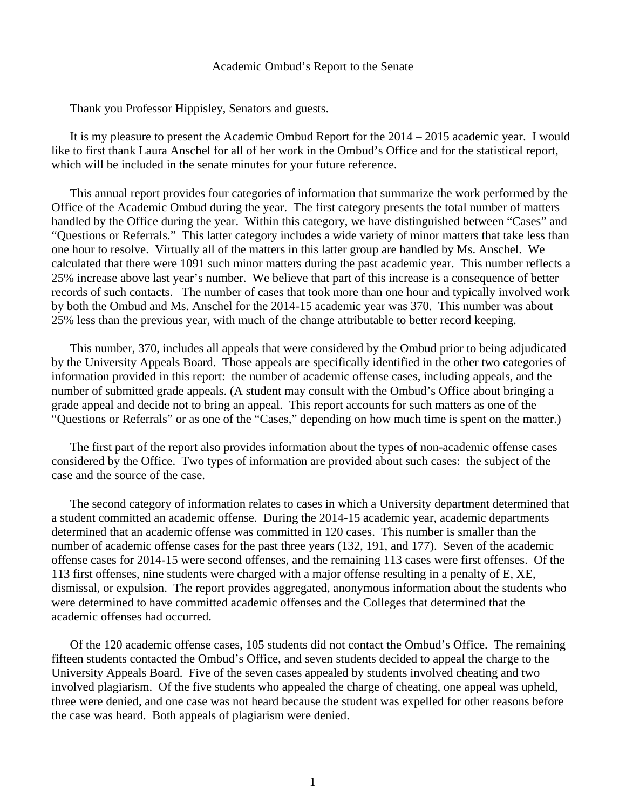#### Academic Ombud's Report to the Senate

Thank you Professor Hippisley, Senators and guests.

 It is my pleasure to present the Academic Ombud Report for the 2014 – 2015 academic year. I would like to first thank Laura Anschel for all of her work in the Ombud's Office and for the statistical report, which will be included in the senate minutes for your future reference.

 This annual report provides four categories of information that summarize the work performed by the Office of the Academic Ombud during the year. The first category presents the total number of matters handled by the Office during the year. Within this category, we have distinguished between "Cases" and "Questions or Referrals." This latter category includes a wide variety of minor matters that take less than one hour to resolve. Virtually all of the matters in this latter group are handled by Ms. Anschel. We calculated that there were 1091 such minor matters during the past academic year. This number reflects a 25% increase above last year's number. We believe that part of this increase is a consequence of better records of such contacts. The number of cases that took more than one hour and typically involved work by both the Ombud and Ms. Anschel for the 2014-15 academic year was 370. This number was about 25% less than the previous year, with much of the change attributable to better record keeping.

 This number, 370, includes all appeals that were considered by the Ombud prior to being adjudicated by the University Appeals Board. Those appeals are specifically identified in the other two categories of information provided in this report: the number of academic offense cases, including appeals, and the number of submitted grade appeals. (A student may consult with the Ombud's Office about bringing a grade appeal and decide not to bring an appeal. This report accounts for such matters as one of the "Questions or Referrals" or as one of the "Cases," depending on how much time is spent on the matter.)

 The first part of the report also provides information about the types of non-academic offense cases considered by the Office. Two types of information are provided about such cases: the subject of the case and the source of the case.

 The second category of information relates to cases in which a University department determined that a student committed an academic offense. During the 2014-15 academic year, academic departments determined that an academic offense was committed in 120 cases. This number is smaller than the number of academic offense cases for the past three years (132, 191, and 177). Seven of the academic offense cases for 2014-15 were second offenses, and the remaining 113 cases were first offenses. Of the 113 first offenses, nine students were charged with a major offense resulting in a penalty of E, XE, dismissal, or expulsion. The report provides aggregated, anonymous information about the students who were determined to have committed academic offenses and the Colleges that determined that the academic offenses had occurred.

 Of the 120 academic offense cases, 105 students did not contact the Ombud's Office. The remaining fifteen students contacted the Ombud's Office, and seven students decided to appeal the charge to the University Appeals Board. Five of the seven cases appealed by students involved cheating and two involved plagiarism. Of the five students who appealed the charge of cheating, one appeal was upheld, three were denied, and one case was not heard because the student was expelled for other reasons before the case was heard. Both appeals of plagiarism were denied.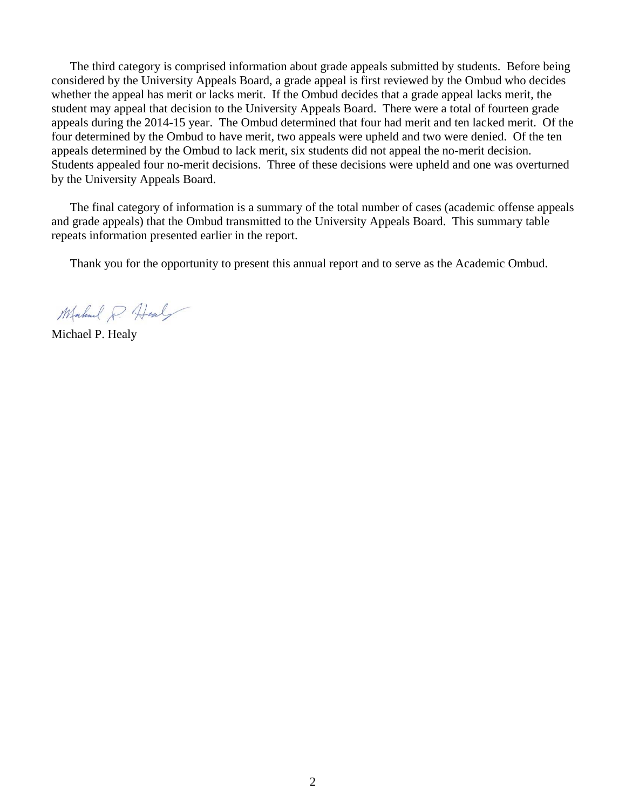The third category is comprised information about grade appeals submitted by students. Before being considered by the University Appeals Board, a grade appeal is first reviewed by the Ombud who decides whether the appeal has merit or lacks merit. If the Ombud decides that a grade appeal lacks merit, the student may appeal that decision to the University Appeals Board. There were a total of fourteen grade appeals during the 2014-15 year. The Ombud determined that four had merit and ten lacked merit. Of the four determined by the Ombud to have merit, two appeals were upheld and two were denied. Of the ten appeals determined by the Ombud to lack merit, six students did not appeal the no-merit decision. Students appealed four no-merit decisions. Three of these decisions were upheld and one was overturned by the University Appeals Board.

 The final category of information is a summary of the total number of cases (academic offense appeals and grade appeals) that the Ombud transmitted to the University Appeals Board. This summary table repeats information presented earlier in the report.

Thank you for the opportunity to present this annual report and to serve as the Academic Ombud.

Mahmed P. Heal

Michael P. Healy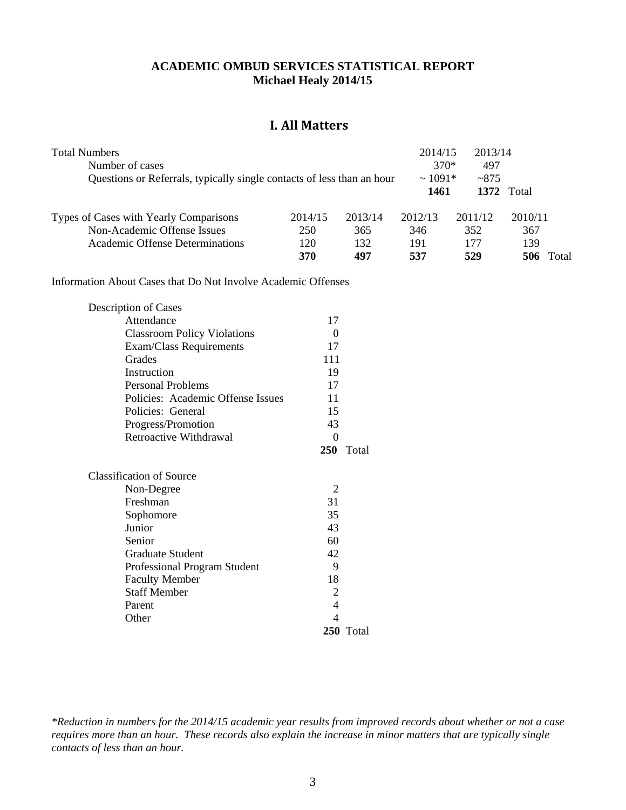#### **ACADEMIC OMBUD SERVICES STATISTICAL REPORT Michael Healy 2014/15**

### **I. All Matters**

| <b>Total Numbers</b>                                                   |         |         | 2014/15      | 2013/14 |                   |
|------------------------------------------------------------------------|---------|---------|--------------|---------|-------------------|
| Number of cases                                                        |         |         | $370*$       | 497     |                   |
| Questions or Referrals, typically single contacts of less than an hour |         |         | $\sim 1091*$ | ~2875   |                   |
|                                                                        |         |         | 1461         |         | <b>1372</b> Total |
| Types of Cases with Yearly Comparisons                                 | 2014/15 | 2013/14 | 2012/13      | 2011/12 | 2010/11           |
| Non-Academic Offense Issues                                            | 250     | 365     | 346          | 352     | 367               |
| Academic Offense Determinations                                        | 120     | 132     | 191          | 177     | 139               |
|                                                                        | 370     | 497     | 537          | 529     | Total             |

Information About Cases that Do Not Involve Academic Offenses

| Description of Cases                |                |           |
|-------------------------------------|----------------|-----------|
| Attendance                          | 17             |           |
| <b>Classroom Policy Violations</b>  | 0              |           |
| Exam/Class Requirements             | 17             |           |
| Grades                              | 111            |           |
| Instruction                         | 19             |           |
| <b>Personal Problems</b>            | 17             |           |
| Policies: Academic Offense Issues   | 11             |           |
| Policies: General                   | 15             |           |
| Progress/Promotion                  | 43             |           |
| Retroactive Withdrawal              | $\theta$       |           |
|                                     |                | 250 Total |
| <b>Classification of Source</b>     |                |           |
| Non-Degree                          | 2              |           |
| Freshman                            | 31             |           |
| Sophomore                           | 35             |           |
| Junior                              | 43             |           |
| Senior                              | 60             |           |
| <b>Graduate Student</b>             | 42             |           |
| <b>Professional Program Student</b> | 9              |           |
| <b>Faculty Member</b>               | 18             |           |
| <b>Staff Member</b>                 | $\overline{2}$ |           |
| Parent                              | 4              |           |
| Other                               | 4              |           |
|                                     |                | 250 Total |

*\*Reduction in numbers for the 2014/15 academic year results from improved records about whether or not a case requires more than an hour. These records also explain the increase in minor matters that are typically single contacts of less than an hour.*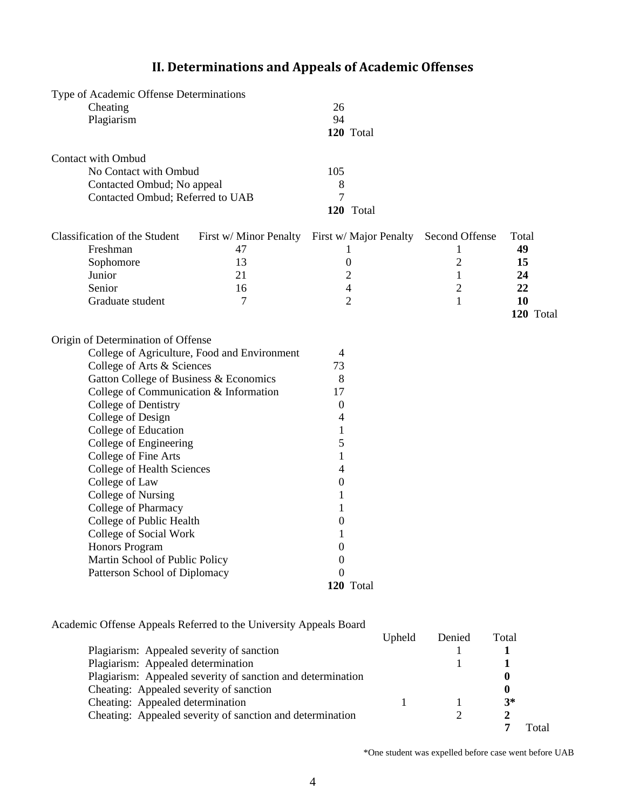|                           | Type of Academic Offense Determinations |                                              |                        |                |           |
|---------------------------|-----------------------------------------|----------------------------------------------|------------------------|----------------|-----------|
| Cheating                  |                                         |                                              | 26                     |                |           |
| Plagiarism                |                                         |                                              | 94                     |                |           |
|                           |                                         |                                              | 120 Total              |                |           |
| <b>Contact with Ombud</b> |                                         |                                              |                        |                |           |
|                           | No Contact with Ombud                   |                                              | 105                    |                |           |
|                           | Contacted Ombud; No appeal              |                                              | 8                      |                |           |
|                           | Contacted Ombud; Referred to UAB        |                                              | 7                      |                |           |
|                           |                                         |                                              | 120 Total              |                |           |
|                           | Classification of the Student           | First w/ Minor Penalty                       | First w/ Major Penalty | Second Offense | Total     |
| Freshman                  |                                         | 47                                           | 1                      | 1              | 49        |
| Sophomore                 |                                         | 13                                           | $\boldsymbol{0}$       | $\overline{2}$ | 15        |
| Junior                    |                                         | 21                                           | $\overline{2}$         | $\mathbf{1}$   | 24        |
| Senior                    |                                         | 16                                           | $\overline{4}$         | $\overline{2}$ | 22        |
|                           | Graduate student                        | 7                                            | $\overline{2}$         | $\mathbf{1}$   | 10        |
|                           |                                         |                                              |                        |                | 120 Total |
|                           | Origin of Determination of Offense      |                                              |                        |                |           |
|                           |                                         | College of Agriculture, Food and Environment | 4                      |                |           |
|                           | College of Arts & Sciences              |                                              | 73                     |                |           |
|                           |                                         | Gatton College of Business & Economics       | 8                      |                |           |
|                           |                                         | College of Communication & Information       | 17                     |                |           |
|                           | College of Dentistry                    |                                              | 0                      |                |           |
|                           | College of Design                       |                                              | 4                      |                |           |
|                           | College of Education                    |                                              | 1                      |                |           |
|                           | College of Engineering                  |                                              | 5                      |                |           |
|                           | College of Fine Arts                    |                                              | 1                      |                |           |
|                           | College of Health Sciences              |                                              | 4                      |                |           |
|                           | College of Law                          |                                              | $\boldsymbol{0}$       |                |           |
|                           | College of Nursing                      |                                              | 1                      |                |           |
|                           | College of Pharmacy                     |                                              | 1                      |                |           |
|                           | College of Public Health                |                                              | 0                      |                |           |
|                           | College of Social Work                  |                                              | 1                      |                |           |
|                           | Honors Program                          |                                              | 0                      |                |           |
|                           | Martin School of Public Policy          |                                              | $\theta$               |                |           |
|                           | Patterson School of Diplomacy           |                                              | 0<br>120 Total         |                |           |
|                           |                                         |                                              |                        |                |           |
|                           |                                         |                                              |                        |                |           |

# **II. Determinations and Appeals of Academic Offenses**

### Academic Offense Appeals Referred to the University Appeals Board

|                                                             | Upheld | Denied | Total |      |
|-------------------------------------------------------------|--------|--------|-------|------|
| Plagiarism: Appealed severity of sanction                   |        |        |       |      |
| Plagiarism: Appealed determination                          |        |        |       |      |
| Plagiarism: Appealed severity of sanction and determination |        |        |       |      |
| Cheating: Appealed severity of sanction                     |        |        |       |      |
| Cheating: Appealed determination                            |        |        | $3*$  |      |
| Cheating: Appealed severity of sanction and determination   |        |        |       |      |
|                                                             |        |        |       | `ota |

\*One student was expelled before case went before UAB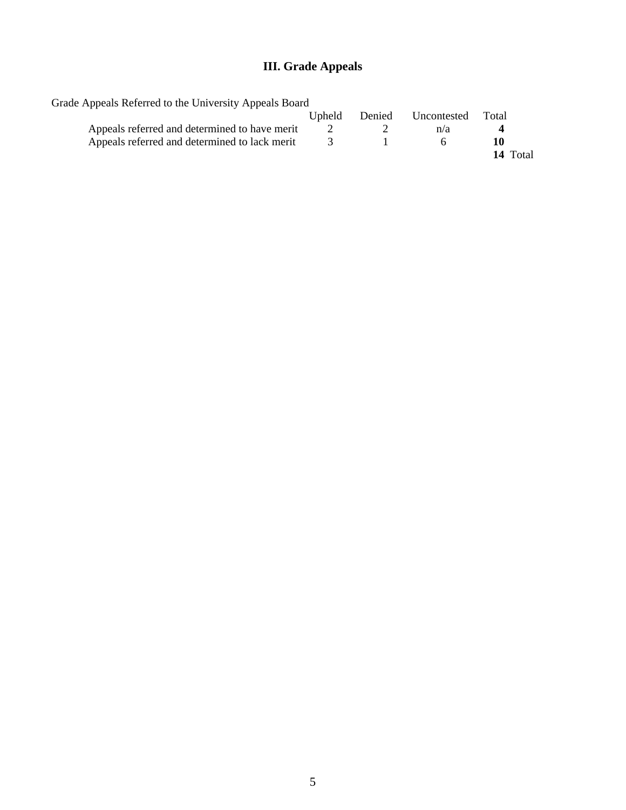# **III. Grade Appeals**

| Grade Appeals Referred to the University Appeals Board |                |        |             |          |
|--------------------------------------------------------|----------------|--------|-------------|----------|
|                                                        | <b>U</b> pheld | Denied | Uncontested | Total    |
| Appeals referred and determined to have merit          |                |        | n/a         |          |
| Appeals referred and determined to lack merit          |                |        |             |          |
|                                                        |                |        |             | 14 Total |